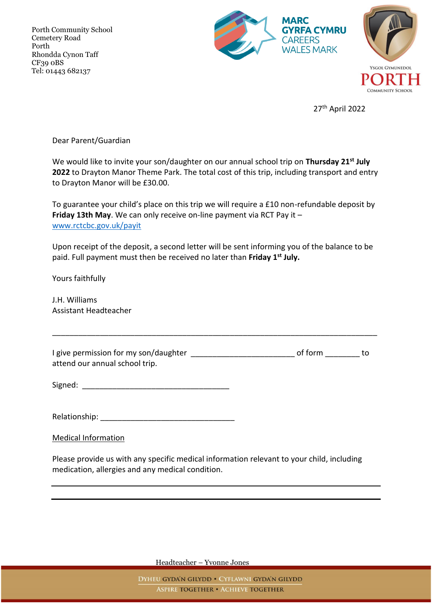Porth Community School Cemetery Road Porth Rhondda Cynon Taff CF39 0BS Tel: 01443 682137



27th April 2022

**COMMUNITY SCHOOL** 

Dear Parent/Guardian

We would like to invite your son/daughter on our annual school trip on **Thursday 21st July 2022** to Drayton Manor Theme Park. The total cost of this trip, including transport and entry to Drayton Manor will be £30.00.

To guarantee your child's place on this trip we will require a £10 non-refundable deposit by **Friday 13th May**. We can only receive on-line payment via RCT Pay it – [www.rctcbc.gov.uk/payit](http://www.rctcbc.gov.uk/payit)

Upon receipt of the deposit, a second letter will be sent informing you of the balance to be paid. Full payment must then be received no later than **Friday 1st July.**

Yours faithfully

J.H. Williams Assistant Headteacher

I give permission for my son/daughter \_\_\_\_\_\_\_\_\_\_\_\_\_\_\_\_\_\_\_\_\_\_\_\_\_\_\_\_\_\_\_\_ of form \_\_\_\_\_\_\_\_\_\_ to attend our annual school trip.

\_\_\_\_\_\_\_\_\_\_\_\_\_\_\_\_\_\_\_\_\_\_\_\_\_\_\_\_\_\_\_\_\_\_\_\_\_\_\_\_\_\_\_\_\_\_\_\_\_\_\_\_\_\_\_\_\_\_\_\_\_\_\_\_\_\_\_\_\_\_\_\_\_\_\_

 $Signed:$ 

Relationship:  $\blacksquare$ 

Medical Information

Please provide us with any specific medical information relevant to your child, including medication, allergies and any medical condition.

Headteacher – Yvonne Jones